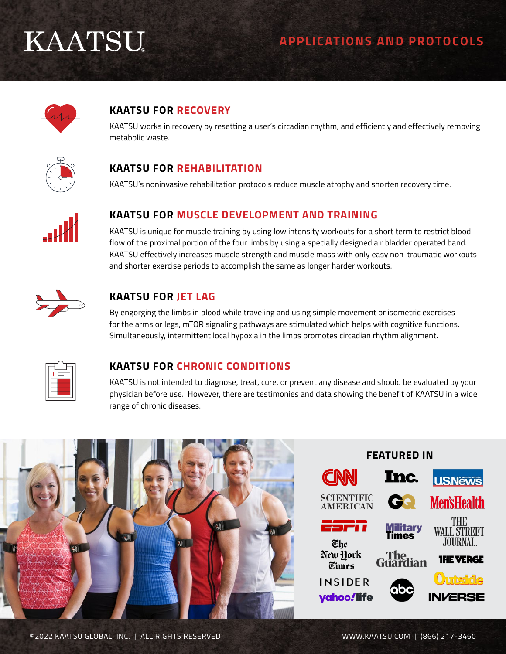# **KAATSU**

## **APPLICATIONS AND PROTOCOLS**



## **KAATSU FOR RECOVERY**

KAATSU works in recovery by resetting a user's circadian rhythm, and efficiently and effectively removing metabolic waste.



## **KAATSU FOR REHABILITATION**

KAATSU's noninvasive rehabilitation protocols reduce muscle atrophy and shorten recovery time.



### **KAATSU FOR MUSCLE DEVELOPMENT AND TRAINING**

KAATSU is unique for muscle training by using low intensity workouts for a short term to restrict blood flow of the proximal portion of the four limbs by using a specially designed air bladder operated band. KAATSU effectively increases muscle strength and muscle mass with only easy non-traumatic workouts and shorter exercise periods to accomplish the same as longer harder workouts.



### **KAATSU FOR JET LAG**

By engorging the limbs in blood while traveling and using simple movement or isometric exercises for the arms or legs, mTOR signaling pathways are stimulated which helps with cognitive functions. Simultaneously, intermittent local hypoxia in the limbs promotes circadian rhythm alignment.



### **KAATSU FOR CHRONIC CONDITIONS**

KAATSU is not intended to diagnose, treat, cure, or prevent any disease and should be evaluated by your physician before use. However, there are testimonies and data showing the benefit of KAATSU in a wide range of chronic diseases.

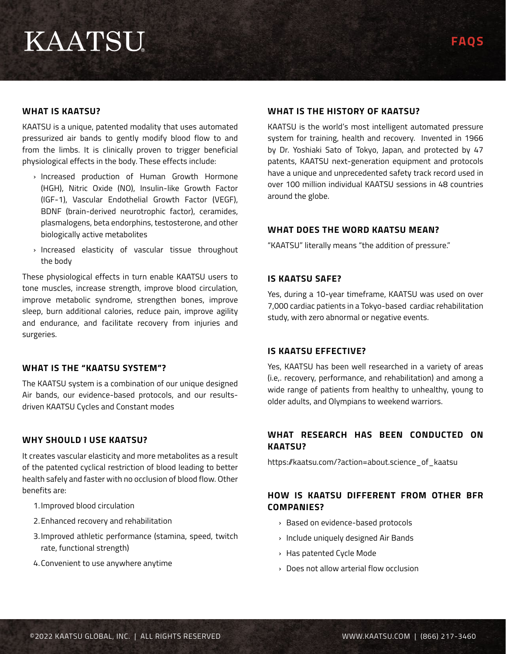# **KAATSU**

#### **WHAT IS KAATSU?**

KAATSU is a unique, patented modality that uses automated pressurized air bands to gently modify blood flow to and from the limbs. It is clinically proven to trigger beneficial physiological effects in the body. These effects include:

- › Increased production of Human Growth Hormone (HGH), Nitric Oxide (NO), Insulin-like Growth Factor (IGF-1), Vascular Endothelial Growth Factor (VEGF), BDNF (brain-derived neurotrophic factor), ceramides, plasmalogens, beta endorphins, testosterone, and other biologically active metabolites
- › Increased elasticity of vascular tissue throughout the body

These physiological effects in turn enable KAATSU users to tone muscles, increase strength, improve blood circulation, improve metabolic syndrome, strengthen bones, improve sleep, burn additional calories, reduce pain, improve agility and endurance, and facilitate recovery from injuries and surgeries.

#### **WHAT IS THE "KAATSU SYSTEM"?**

The KAATSU system is a combination of our unique designed Air bands, our evidence-based protocols, and our resultsdriven KAATSU Cycles and Constant modes

#### **WHY SHOULD I USE KAATSU?**

It creates vascular elasticity and more metabolites as a result of the patented cyclical restriction of blood leading to better health safely and faster with no occlusion of blood flow. Other benefits are:

- 1.Improved blood circulation
- 2.Enhanced recovery and rehabilitation
- 3.Improved athletic performance (stamina, speed, twitch rate, functional strength)
- 4.Convenient to use anywhere anytime

#### **WHAT IS THE HISTORY OF KAATSU?**

KAATSU is the world's most intelligent automated pressure system for training, health and recovery. Invented in 1966 by Dr. Yoshiaki Sato of Tokyo, Japan, and protected by 47 patents, KAATSU next-generation equipment and protocols have a unique and unprecedented safety track record used in over 100 million individual KAATSU sessions in 48 countries around the globe.

#### **WHAT DOES THE WORD KAATSU MEAN?**

"KAATSU" literally means "the addition of pressure."

#### **IS KAATSU SAFE?**

Yes, during a 10-year timeframe, KAATSU was used on over 7,000 cardiac patients in a Tokyo-based cardiac rehabilitation study, with zero abnormal or negative events.

#### **IS KAATSU EFFECTIVE?**

Yes, KAATSU has been well researched in a variety of areas (i.e,. recovery, performance, and rehabilitation) and among a wide range of patients from healthy to unhealthy, young to older adults, and Olympians to weekend warriors.

#### **WHAT RESEARCH HAS BEEN CONDUCTED ON KAATSU?**

https://kaatsu.com/?action=about.science\_of\_kaatsu

#### **HOW IS KAATSU DIFFERENT FROM OTHER BFR COMPANIES?**

- › Based on evidence-based protocols
- › Include uniquely designed Air Bands
- › Has patented Cycle Mode
- › Does not allow arterial flow occlusion